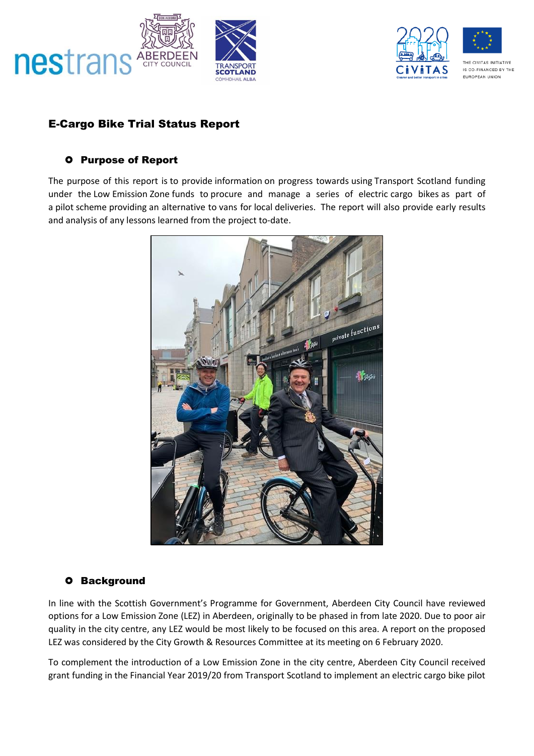



# E-Cargo Bike Trial Status Report

#### **O** Purpose of Report

The purpose of this report is to provide information on progress towards using Transport Scotland funding under the Low Emission Zone funds to procure and manage a series of electric cargo bikes as part of a pilot scheme providing an alternative to vans for local deliveries. The report will also provide early results and analysis of any lessons learned from the project to-date.



### **O** Background

In line with the Scottish Government's Programme for Government, Aberdeen City Council have reviewed options for a Low Emission Zone (LEZ) in Aberdeen, originally to be phased in from late 2020. Due to poor air quality in the city centre, any LEZ would be most likely to be focused on this area. A report on the proposed LEZ was considered by the City Growth & Resources Committee at its meeting on 6 February 2020.

To complement the introduction of a Low Emission Zone in the city centre, Aberdeen City Council received grant funding in the Financial Year 2019/20 from Transport Scotland to implement an electric cargo bike pilot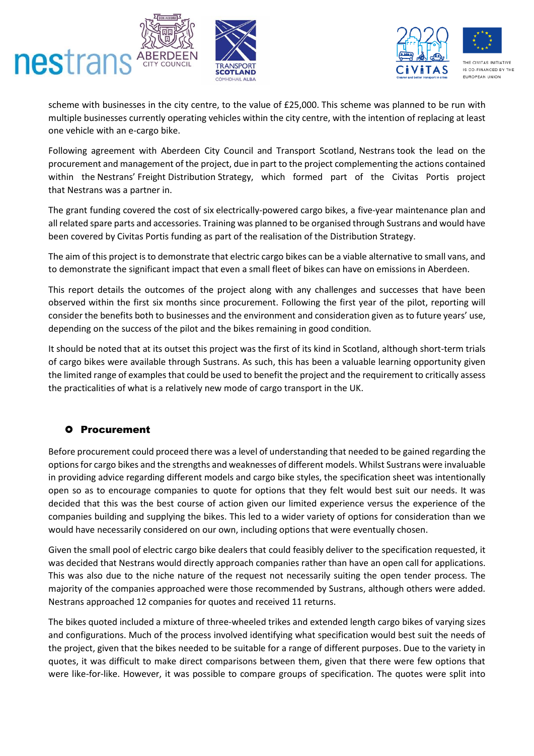



scheme with businesses in the city centre, to the value of £25,000. This scheme was planned to be run with multiple businesses currently operating vehicles within the city centre, with the intention of replacing at least one vehicle with an e-cargo bike.

Following agreement with Aberdeen City Council and Transport Scotland, Nestrans took the lead on the procurement and management of the project, due in part to the project complementing the actions contained within the Nestrans' Freight Distribution Strategy, which formed part of the Civitas Portis project that Nestrans was a partner in.

The grant funding covered the cost of six electrically-powered cargo bikes, a five-year maintenance plan and all related spare parts and accessories. Training was planned to be organised through Sustrans and would have been covered by Civitas Portis funding as part of the realisation of the Distribution Strategy.

The aim of this project is to demonstrate that electric cargo bikes can be a viable alternative to small vans, and to demonstrate the significant impact that even a small fleet of bikes can have on emissions in Aberdeen.

This report details the outcomes of the project along with any challenges and successes that have been observed within the first six months since procurement. Following the first year of the pilot, reporting will consider the benefits both to businesses and the environment and consideration given as to future years' use, depending on the success of the pilot and the bikes remaining in good condition.

It should be noted that at its outset this project was the first of its kind in Scotland, although short-term trials of cargo bikes were available through Sustrans. As such, this has been a valuable learning opportunity given the limited range of examples that could be used to benefit the project and the requirement to critically assess the practicalities of what is a relatively new mode of cargo transport in the UK.

### **O** Procurement

Before procurement could proceed there was a level of understanding that needed to be gained regarding the options for cargo bikes and the strengths and weaknesses of different models. Whilst Sustrans were invaluable in providing advice regarding different models and cargo bike styles, the specification sheet was intentionally open so as to encourage companies to quote for options that they felt would best suit our needs. It was decided that this was the best course of action given our limited experience versus the experience of the companies building and supplying the bikes. This led to a wider variety of options for consideration than we would have necessarily considered on our own, including options that were eventually chosen.

Given the small pool of electric cargo bike dealers that could feasibly deliver to the specification requested, it was decided that Nestrans would directly approach companies rather than have an open call for applications. This was also due to the niche nature of the request not necessarily suiting the open tender process. The majority of the companies approached were those recommended by Sustrans, although others were added. Nestrans approached 12 companies for quotes and received 11 returns.

The bikes quoted included a mixture of three-wheeled trikes and extended length cargo bikes of varying sizes and configurations. Much of the process involved identifying what specification would best suit the needs of the project, given that the bikes needed to be suitable for a range of different purposes. Due to the variety in quotes, it was difficult to make direct comparisons between them, given that there were few options that were like-for-like. However, it was possible to compare groups of specification. The quotes were split into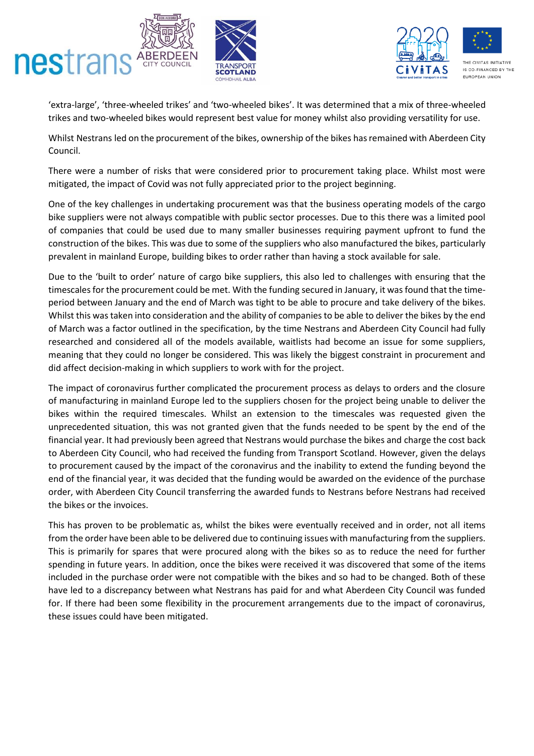



'extra-large', 'three-wheeled trikes' and 'two-wheeled bikes'. It was determined that a mix of three-wheeled trikes and two-wheeled bikes would represent best value for money whilst also providing versatility for use.

Whilst Nestrans led on the procurement of the bikes, ownership of the bikes has remained with Aberdeen City Council.

There were a number of risks that were considered prior to procurement taking place. Whilst most were mitigated, the impact of Covid was not fully appreciated prior to the project beginning.

One of the key challenges in undertaking procurement was that the business operating models of the cargo bike suppliers were not always compatible with public sector processes. Due to this there was a limited pool of companies that could be used due to many smaller businesses requiring payment upfront to fund the construction of the bikes. This was due to some of the suppliers who also manufactured the bikes, particularly prevalent in mainland Europe, building bikes to order rather than having a stock available for sale.

Due to the 'built to order' nature of cargo bike suppliers, this also led to challenges with ensuring that the timescales for the procurement could be met. With the funding secured in January, it was found that the timeperiod between January and the end of March was tight to be able to procure and take delivery of the bikes. Whilst this was taken into consideration and the ability of companies to be able to deliver the bikes by the end of March was a factor outlined in the specification, by the time Nestrans and Aberdeen City Council had fully researched and considered all of the models available, waitlists had become an issue for some suppliers, meaning that they could no longer be considered. This was likely the biggest constraint in procurement and did affect decision-making in which suppliers to work with for the project.

The impact of coronavirus further complicated the procurement process as delays to orders and the closure of manufacturing in mainland Europe led to the suppliers chosen for the project being unable to deliver the bikes within the required timescales. Whilst an extension to the timescales was requested given the unprecedented situation, this was not granted given that the funds needed to be spent by the end of the financial year. It had previously been agreed that Nestrans would purchase the bikes and charge the cost back to Aberdeen City Council, who had received the funding from Transport Scotland. However, given the delays to procurement caused by the impact of the coronavirus and the inability to extend the funding beyond the end of the financial year, it was decided that the funding would be awarded on the evidence of the purchase order, with Aberdeen City Council transferring the awarded funds to Nestrans before Nestrans had received the bikes or the invoices.

This has proven to be problematic as, whilst the bikes were eventually received and in order, not all items from the order have been able to be delivered due to continuing issues with manufacturing from the suppliers. This is primarily for spares that were procured along with the bikes so as to reduce the need for further spending in future years. In addition, once the bikes were received it was discovered that some of the items included in the purchase order were not compatible with the bikes and so had to be changed. Both of these have led to a discrepancy between what Nestrans has paid for and what Aberdeen City Council was funded for. If there had been some flexibility in the procurement arrangements due to the impact of coronavirus, these issues could have been mitigated.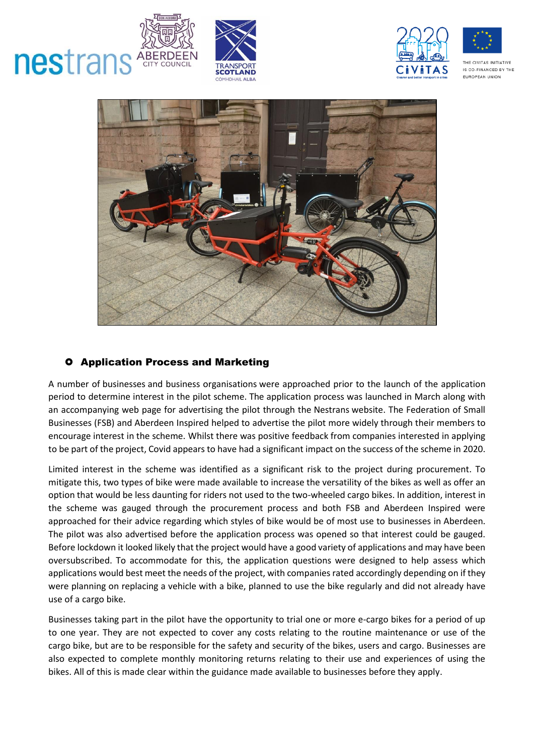

COUNCIL

nestrans







#### **O** Application Process and Marketing

A number of businesses and business organisations were approached prior to the launch of the application period to determine interest in the pilot scheme. The application process was launched in March along with an accompanying web page for advertising the pilot through the Nestrans website. The Federation of Small Businesses (FSB) and Aberdeen Inspired helped to advertise the pilot more widely through their members to encourage interest in the scheme. Whilst there was positive feedback from companies interested in applying to be part of the project, Covid appears to have had a significant impact on the success of the scheme in 2020.

Limited interest in the scheme was identified as a significant risk to the project during procurement. To mitigate this, two types of bike were made available to increase the versatility of the bikes as well as offer an option that would be less daunting for riders not used to the two-wheeled cargo bikes. In addition, interest in the scheme was gauged through the procurement process and both FSB and Aberdeen Inspired were approached for their advice regarding which styles of bike would be of most use to businesses in Aberdeen. The pilot was also advertised before the application process was opened so that interest could be gauged. Before lockdown it looked likely that the project would have a good variety of applications and may have been oversubscribed. To accommodate for this, the application questions were designed to help assess which applications would best meet the needs of the project, with companies rated accordingly depending on if they were planning on replacing a vehicle with a bike, planned to use the bike regularly and did not already have use of a cargo bike.

Businesses taking part in the pilot have the opportunity to trial one or more e-cargo bikes for a period of up to one year. They are not expected to cover any costs relating to the routine maintenance or use of the cargo bike, but are to be responsible for the safety and security of the bikes, users and cargo. Businesses are also expected to complete monthly monitoring returns relating to their use and experiences of using the bikes. All of this is made clear within the guidance made available to businesses before they apply.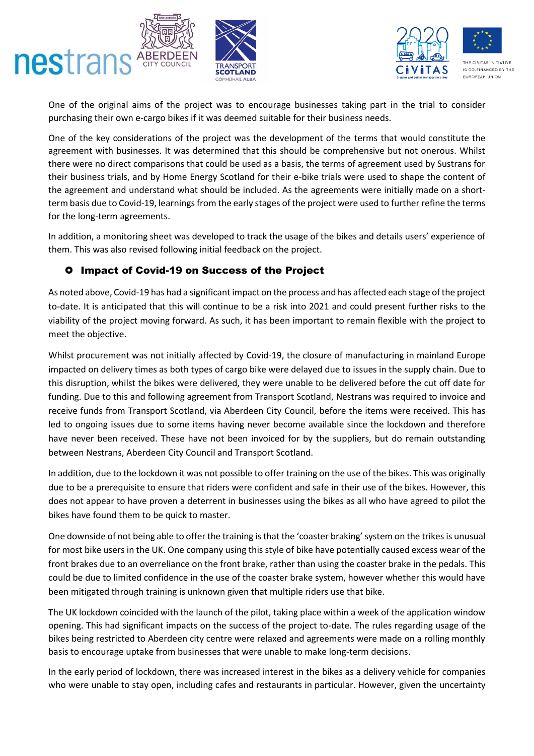



One of the original aims of the project was to encourage businesses taking part in the trial to consider purchasing their own e-cargo bikes if it was deemed suitable for their business needs.

One of the key considerations of the project was the development of the terms that would constitute the agreement with businesses. It was determined that this should be comprehensive but not onerous. Whilst there were no direct comparisons that could be used as a basis, the terms of agreement used by Sustrans for their business trials, and by Home Energy Scotland for their e-bike trials were used to shape the content of the agreement and understand what should be included. As the agreements were initially made on a shortterm basis due to Covid-19, learnings from the early stages of the project were used to further refine the terms for the long-term agreements.

In addition, a monitoring sheet was developed to track the usage of the bikes and details users' experience of them. This was also revised following initial feedback on the project.

### **O** Impact of Covid-19 on Success of the Project

As noted above, Covid-19 has had a significant impact on the process and has affected each stage of the project to-date. It is anticipated that this will continue to be a risk into 2021 and could present further risks to the viability of the project moving forward. As such, it has been important to remain flexible with the project to meet the objective.

Whilst procurement was not initially affected by Covid-19, the closure of manufacturing in mainland Europe impacted on delivery times as both types of cargo bike were delayed due to issues in the supply chain. Due to this disruption, whilst the bikes were delivered, they were unable to be delivered before the cut off date for funding. Due to this and following agreement from Transport Scotland, Nestrans was required to invoice and receive funds from Transport Scotland, via Aberdeen City Council, before the items were received. This has led to ongoing issues due to some items having never become available since the lockdown and therefore have never been received. These have not been invoiced for by the suppliers, but do remain outstanding between Nestrans, Aberdeen City Council and Transport Scotland.

In addition, due to the lockdown it was not possible to offer training on the use of the bikes. This was originally due to be a prerequisite to ensure that riders were confident and safe in their use of the bikes. However, this does not appear to have proven a deterrent in businesses using the bikes as all who have agreed to pilot the bikes have found them to be quick to master.

One downside of not being able to offer the training is that the 'coaster braking' system on the trikes is unusual for most bike users in the UK. One company using this style of bike have potentially caused excess wear of the front brakes due to an overreliance on the front brake, rather than using the coaster brake in the pedals. This could be due to limited confidence in the use of the coaster brake system, however whether this would have been mitigated through training is unknown given that multiple riders use that bike.

The UK lockdown coincided with the launch of the pilot, taking place within a week of the application window opening. This had significant impacts on the success of the project to-date. The rules regarding usage of the bikes being restricted to Aberdeen city centre were relaxed and agreements were made on a rolling monthly basis to encourage uptake from businesses that were unable to make long-term decisions.

In the early period of lockdown, there was increased interest in the bikes as a delivery vehicle for companies who were unable to stay open, including cafes and restaurants in particular. However, given the uncertainty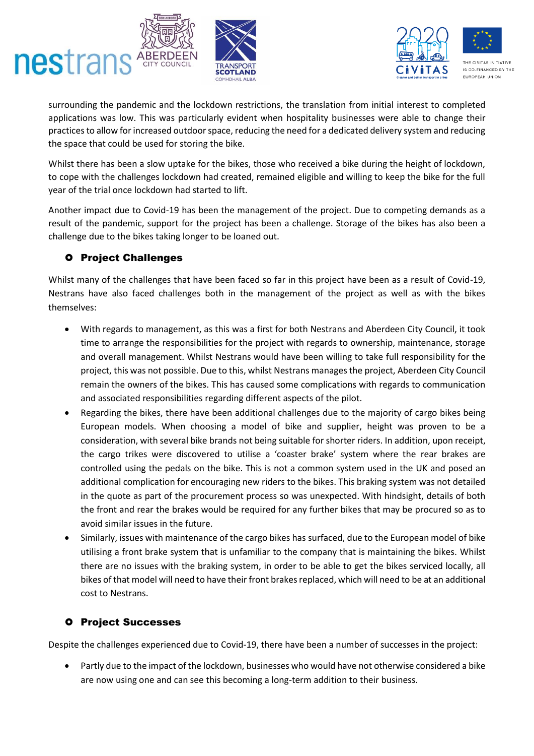



surrounding the pandemic and the lockdown restrictions, the translation from initial interest to completed applications was low. This was particularly evident when hospitality businesses were able to change their practices to allow for increased outdoor space, reducing the need for a dedicated delivery system and reducing the space that could be used for storing the bike.

Whilst there has been a slow uptake for the bikes, those who received a bike during the height of lockdown, to cope with the challenges lockdown had created, remained eligible and willing to keep the bike for the full year of the trial once lockdown had started to lift.

Another impact due to Covid-19 has been the management of the project. Due to competing demands as a result of the pandemic, support for the project has been a challenge. Storage of the bikes has also been a challenge due to the bikes taking longer to be loaned out.

### **O** Project Challenges

Whilst many of the challenges that have been faced so far in this project have been as a result of Covid-19, Nestrans have also faced challenges both in the management of the project as well as with the bikes themselves:

- With regards to management, as this was a first for both Nestrans and Aberdeen City Council, it took time to arrange the responsibilities for the project with regards to ownership, maintenance, storage and overall management. Whilst Nestrans would have been willing to take full responsibility for the project, this was not possible. Due to this, whilst Nestrans manages the project, Aberdeen City Council remain the owners of the bikes. This has caused some complications with regards to communication and associated responsibilities regarding different aspects of the pilot.
- Regarding the bikes, there have been additional challenges due to the majority of cargo bikes being European models. When choosing a model of bike and supplier, height was proven to be a consideration, with several bike brands not being suitable for shorter riders. In addition, upon receipt, the cargo trikes were discovered to utilise a 'coaster brake' system where the rear brakes are controlled using the pedals on the bike. This is not a common system used in the UK and posed an additional complication for encouraging new riders to the bikes. This braking system was not detailed in the quote as part of the procurement process so was unexpected. With hindsight, details of both the front and rear the brakes would be required for any further bikes that may be procured so as to avoid similar issues in the future.
- Similarly, issues with maintenance of the cargo bikes has surfaced, due to the European model of bike utilising a front brake system that is unfamiliar to the company that is maintaining the bikes. Whilst there are no issues with the braking system, in order to be able to get the bikes serviced locally, all bikes of that model will need to have their front brakes replaced, which will need to be at an additional cost to Nestrans.

### **O** Project Successes

Despite the challenges experienced due to Covid-19, there have been a number of successes in the project:

• Partly due to the impact of the lockdown, businesses who would have not otherwise considered a bike are now using one and can see this becoming a long-term addition to their business.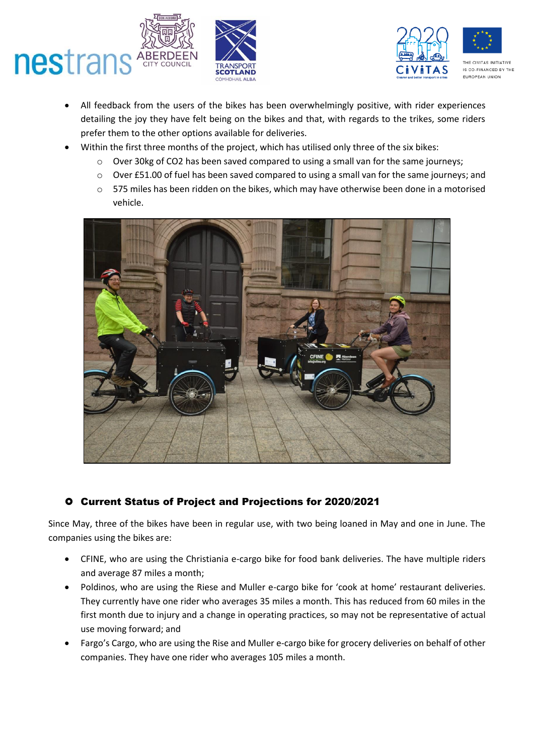



- All feedback from the users of the bikes has been overwhelmingly positive, with rider experiences detailing the joy they have felt being on the bikes and that, with regards to the trikes, some riders prefer them to the other options available for deliveries.
- Within the first three months of the project, which has utilised only three of the six bikes:
	- o Over 30kg of CO2 has been saved compared to using a small van for the same journeys;
	- o Over £51.00 of fuel has been saved compared to using a small van for the same journeys; and
	- o 575 miles has been ridden on the bikes, which may have otherwise been done in a motorised vehicle.



## Current Status of Project and Projections for 2020/2021

Since May, three of the bikes have been in regular use, with two being loaned in May and one in June. The companies using the bikes are:

- CFINE, who are using the Christiania e-cargo bike for food bank deliveries. The have multiple riders and average 87 miles a month;
- Poldinos, who are using the Riese and Muller e-cargo bike for 'cook at home' restaurant deliveries. They currently have one rider who averages 35 miles a month. This has reduced from 60 miles in the first month due to injury and a change in operating practices, so may not be representative of actual use moving forward; and
- Fargo's Cargo, who are using the Rise and Muller e-cargo bike for grocery deliveries on behalf of other companies. They have one rider who averages 105 miles a month.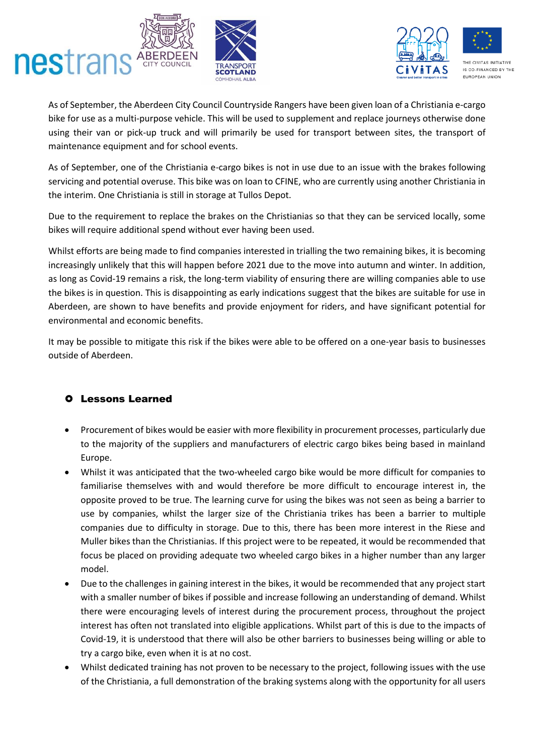



As of September, the Aberdeen City Council Countryside Rangers have been given loan of a Christiania e-cargo bike for use as a multi-purpose vehicle. This will be used to supplement and replace journeys otherwise done using their van or pick-up truck and will primarily be used for transport between sites, the transport of maintenance equipment and for school events.

As of September, one of the Christiania e-cargo bikes is not in use due to an issue with the brakes following servicing and potential overuse. This bike was on loan to CFINE, who are currently using another Christiania in the interim. One Christiania is still in storage at Tullos Depot.

Due to the requirement to replace the brakes on the Christianias so that they can be serviced locally, some bikes will require additional spend without ever having been used.

Whilst efforts are being made to find companies interested in trialling the two remaining bikes, it is becoming increasingly unlikely that this will happen before 2021 due to the move into autumn and winter. In addition, as long as Covid-19 remains a risk, the long-term viability of ensuring there are willing companies able to use the bikes is in question. This is disappointing as early indications suggest that the bikes are suitable for use in Aberdeen, are shown to have benefits and provide enjoyment for riders, and have significant potential for environmental and economic benefits.

It may be possible to mitigate this risk if the bikes were able to be offered on a one-year basis to businesses outside of Aberdeen.

### Lessons Learned

- Procurement of bikes would be easier with more flexibility in procurement processes, particularly due to the majority of the suppliers and manufacturers of electric cargo bikes being based in mainland Europe.
- Whilst it was anticipated that the two-wheeled cargo bike would be more difficult for companies to familiarise themselves with and would therefore be more difficult to encourage interest in, the opposite proved to be true. The learning curve for using the bikes was not seen as being a barrier to use by companies, whilst the larger size of the Christiania trikes has been a barrier to multiple companies due to difficulty in storage. Due to this, there has been more interest in the Riese and Muller bikes than the Christianias. If this project were to be repeated, it would be recommended that focus be placed on providing adequate two wheeled cargo bikes in a higher number than any larger model.
- Due to the challenges in gaining interest in the bikes, it would be recommended that any project start with a smaller number of bikes if possible and increase following an understanding of demand. Whilst there were encouraging levels of interest during the procurement process, throughout the project interest has often not translated into eligible applications. Whilst part of this is due to the impacts of Covid-19, it is understood that there will also be other barriers to businesses being willing or able to try a cargo bike, even when it is at no cost.
- Whilst dedicated training has not proven to be necessary to the project, following issues with the use of the Christiania, a full demonstration of the braking systems along with the opportunity for all users